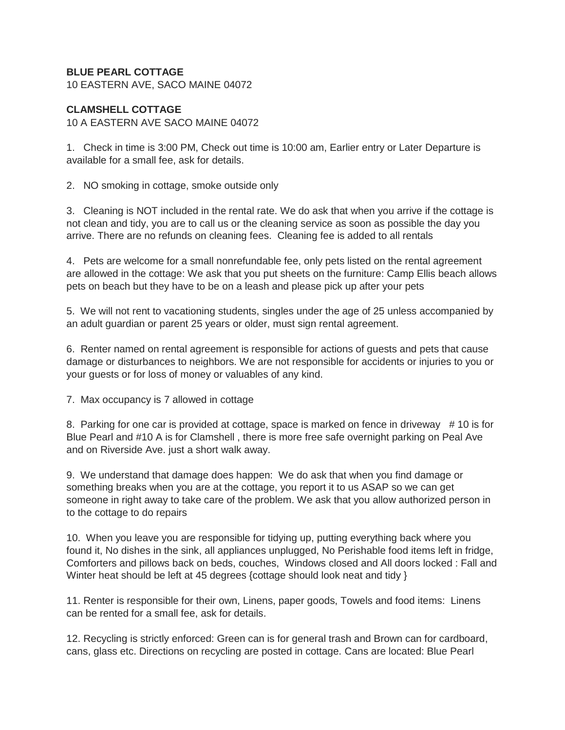## **BLUE PEARL COTTAGE**

10 EASTERN AVE, SACO MAINE 04072

## **CLAMSHELL COTTAGE**

10 A EASTERN AVE SACO MAINE 04072

1. Check in time is 3:00 PM, Check out time is 10:00 am, Earlier entry or Later Departure is available for a small fee, ask for details.

2. NO smoking in cottage, smoke outside only

3. Cleaning is NOT included in the rental rate. We do ask that when you arrive if the cottage is not clean and tidy, you are to call us or the cleaning service as soon as possible the day you arrive. There are no refunds on cleaning fees. Cleaning fee is added to all rentals

4. Pets are welcome for a small nonrefundable fee, only pets listed on the rental agreement are allowed in the cottage: We ask that you put sheets on the furniture: Camp Ellis beach allows pets on beach but they have to be on a leash and please pick up after your pets

5. We will not rent to vacationing students, singles under the age of 25 unless accompanied by an adult guardian or parent 25 years or older, must sign rental agreement.

6. Renter named on rental agreement is responsible for actions of guests and pets that cause damage or disturbances to neighbors. We are not responsible for accidents or injuries to you or your guests or for loss of money or valuables of any kind.

7. Max occupancy is 7 allowed in cottage

8. Parking for one car is provided at cottage, space is marked on fence in driveway # 10 is for Blue Pearl and #10 A is for Clamshell , there is more free safe overnight parking on Peal Ave and on Riverside Ave. just a short walk away.

9. We understand that damage does happen: We do ask that when you find damage or something breaks when you are at the cottage, you report it to us ASAP so we can get someone in right away to take care of the problem. We ask that you allow authorized person in to the cottage to do repairs

10. When you leave you are responsible for tidying up, putting everything back where you found it, No dishes in the sink, all appliances unplugged, No Perishable food items left in fridge, Comforters and pillows back on beds, couches, Windows closed and All doors locked : Fall and Winter heat should be left at 45 degrees {cottage should look neat and tidy }

11. Renter is responsible for their own, Linens, paper goods, Towels and food items: Linens can be rented for a small fee, ask for details.

12. Recycling is strictly enforced: Green can is for general trash and Brown can for cardboard, cans, glass etc. Directions on recycling are posted in cottage. Cans are located: Blue Pearl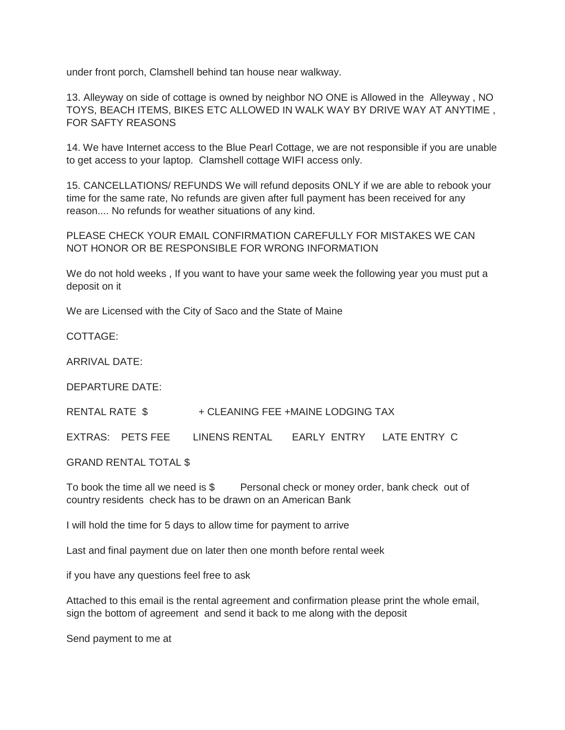under front porch, Clamshell behind tan house near walkway.

13. Alleyway on side of cottage is owned by neighbor NO ONE is Allowed in the Alleyway , NO TOYS, BEACH ITEMS, BIKES ETC ALLOWED IN WALK WAY BY DRIVE WAY AT ANYTIME , FOR SAFTY REASONS

14. We have Internet access to the Blue Pearl Cottage, we are not responsible if you are unable to get access to your laptop. Clamshell cottage WIFI access only.

15. CANCELLATIONS/ REFUNDS We will refund deposits ONLY if we are able to rebook your time for the same rate, No refunds are given after full payment has been received for any reason.... No refunds for weather situations of any kind.

PLEASE CHECK YOUR EMAIL CONFIRMATION CAREFULLY FOR MISTAKES WE CAN NOT HONOR OR BE RESPONSIBLE FOR WRONG INFORMATION

We do not hold weeks , If you want to have your same week the following year you must put a deposit on it

We are Licensed with the City of Saco and the State of Maine

COTTAGE:

ARRIVAL DATE:

DEPARTURE DATE:

RENTAL RATE \$ + CLEANING FEE +MAINE LODGING TAX

EXTRAS: PETS FEE LINENS RENTAL EARLY ENTRY LATE ENTRY C

GRAND RENTAL TOTAL \$

To book the time all we need is \$ Personal check or money order, bank check out of country residents check has to be drawn on an American Bank

I will hold the time for 5 days to allow time for payment to arrive

Last and final payment due on later then one month before rental week

if you have any questions feel free to ask

Attached to this email is the rental agreement and confirmation please print the whole email, sign the bottom of agreement and send it back to me along with the deposit

Send payment to me at